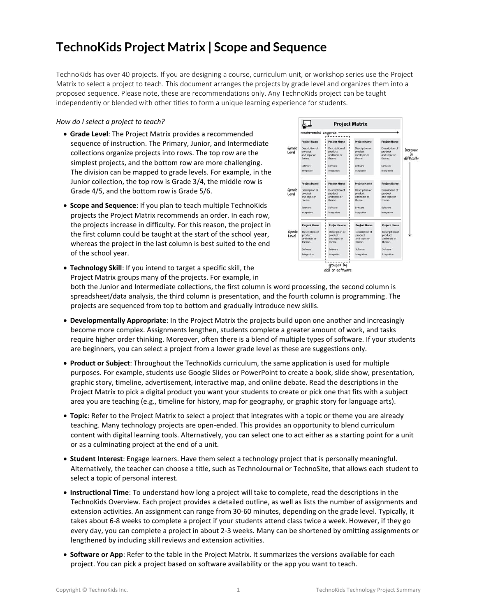## **TechnoKids Project Matrix | Scope and Sequence**

TechnoKids has over 40 projects. If you are designing a course, curriculum unit, or workshop series use the Project Matrix to select a project to teach. This document arranges the projects by grade level and organizes them into a proposed sequence. Please note, these are recommendations only. Any TechnoKids project can be taught independently or blended with other titles to form a unique learning experience for students.

#### *How do I select a project to teach?*

- **Grade Level**: The Project Matrix provides a recommended sequence of instruction. The Primary, Junior, and Intermediate collections organize projects into rows. The top row are the simplest projects, and the bottom row are more challenging. The division can be mapped to grade levels. For example, in the Junior collection, the top row is Grade 3/4, the middle row is Grade 4/5, and the bottom row is Grade 5/6.
- **Scope and Sequence**: If you plan to teach multiple TechnoKids projects the Project Matrix recommends an order. In each row, the projects increase in difficulty. For this reason, the project in the first column could be taught at the start of the school year, whereas the project in the last column is best suited to the end of the school year.



• **Technology Skill**: If you intend to target a specific skill, the Project Matrix groups many of the projects. For example, in

both the Junior and Intermediate collections, the first column is word processing, the second column is spreadsheet/data analysis, the third column is presentation, and the fourth column is programming. The projects are sequenced from top to bottom and gradually introduce new skills.

- **Developmentally Appropriate**: In the Project Matrix the projects build upon one another and increasingly become more complex. Assignments lengthen, students complete a greater amount of work, and tasks require higher order thinking. Moreover, often there is a blend of multiple types of software. If your students are beginners, you can select a project from a lower grade level as these are suggestions only.
- **Product or Subject**: Throughout the TechnoKids curriculum, the same application is used for multiple purposes. For example, students use Google Slides or PowerPoint to create a book, slide show, presentation, graphic story, timeline, advertisement, interactive map, and online debate. Read the descriptions in the Project Matrix to pick a digital product you want your students to create or pick one that fits with a subject area you are teaching (e.g., timeline for history, map for geography, or graphic story for language arts).
- **Topic**: Refer to the Project Matrix to select a project that integrates with a topic or theme you are already teaching. Many technology projects are open-ended. This provides an opportunity to blend curriculum content with digital learning tools. Alternatively, you can select one to act either as a starting point for a unit or as a culminating project at the end of a unit.
- **Student Interest**: Engage learners. Have them select a technology project that is personally meaningful. Alternatively, the teacher can choose a title, such as TechnoJournal or TechnoSite, that allows each student to select a topic of personal interest.
- **Instructional Time**: To understand how long a project will take to complete, read the descriptions in the TechnoKids Overview. Each project provides a detailed outline, as well as lists the number of assignments and extension activities. An assignment can range from 30-60 minutes, depending on the grade level. Typically, it takes about 6-8 weeks to complete a project if your students attend class twice a week. However, if they go every day, you can complete a project in about 2-3 weeks. Many can be shortened by omitting assignments or lengthened by including skill reviews and extension activities.
- **Software or App**: Refer to the table in the Project Matrix. It summarizes the versions available for each project. You can pick a project based on software availability or the app you want to teach.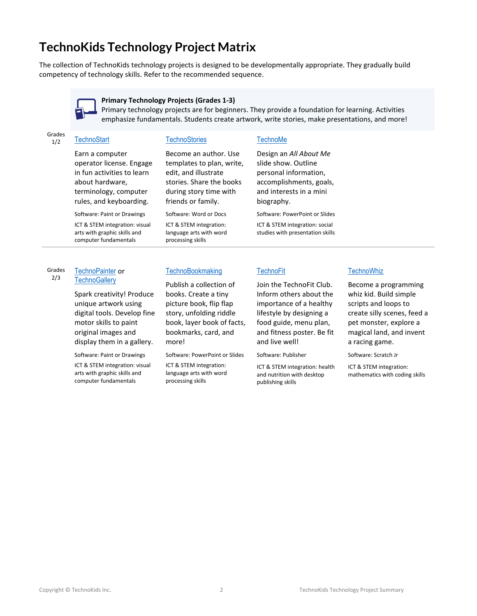# **TechnoKids Technology Project Matrix**

The collection of TechnoKids technology projects is designed to be developmentally appropriate. They gradually build competency of technology skills. Refer to the recommended sequence.



**Primary Technology Projects (Grades 1-3)**

Primary technology projects are for beginners. They provide a foundation for learning. Activities emphasize fundamentals. Students create artwork, write stories, make presentations, and more!

# Grades

### 1/2 [TechnoStart](https://www.technokids.com/Store/Primary-School/TechnoStart/computer-lessons-for-beginners.aspx)

Earn a computer

operator license. Engage in fun activities to learn about hardware, terminology, computer rules, and keyboarding.

Software: Paint or Drawings ICT & STEM integration: visual arts with graphic skills and computer fundamentals

#### **[TechnoStories](https://www.technokids.com/Store/Primary-School/TechnoStories/story-writing-for-kids.aspx)**

Become an author. Use templates to plan, write, edit, and illustrate stories. Share the books during story time with friends or family.

Software: Word or Docs ICT & STEM integration: language arts with word processing skills

#### **[TechnoMe](https://www.technokids.com/Store/Primary-School/TechnoMe/all-about-me.aspx)**

Design an *All About Me* slide show. Outline personal information, accomplishments, goals, and interests in a mini biography. Software: PowerPoint or Slides

ICT & STEM integration: social studies with presentation skills

### **[TechnoFit](https://www.technokids.com/store/primary-school/technofit/personal-health-activities.aspx)**

Join the TechnoFit Club. Inform others about the importance of a healthy lifestyle by designing a food guide, menu plan, and fitness poster. Be fit and live well!

Software: Publisher

ICT & STEM integration: health and nutrition with desktop publishing skills

#### **[TechnoWhiz](https://www.technokids.com/Store/Primary-School/TechnoWhiz/coding-for-kids.aspx)**

Become a programming whiz kid. Build simple scripts and loops to create silly scenes, feed a pet monster, explore a magical land, and invent a racing game.

Software: Scratch Jr

ICT & STEM integration: mathematics with coding skills

Grades 2/3 [TechnoPainter](https://www.technokids.com/Store/Primary-School/TechnoPainter/digital-art-for-kids.aspx) or

#### **[TechnoGallery](https://www.technokids.com/Store/Primary-School/TechnoGallery/digital-art.aspx)**

Spark creativity! Produce unique artwork using digital tools. Develop fine motor skills to paint original images and display them in a gallery.

Software: Paint or Drawings

ICT & STEM integration: visual arts with graphic skills and computer fundamentals

### **[TechnoBookmaking](https://www.technokids.com/Store/Primary-School/TechnoBookmaking/technology-in-the-classroom.aspx)**

Publish a collection of books. Create a tiny picture book, flip flap story, unfolding riddle book, layer book of facts, bookmarks, card, and more!

Software: PowerPoint or Slides

ICT & STEM integration: language arts with word processing skills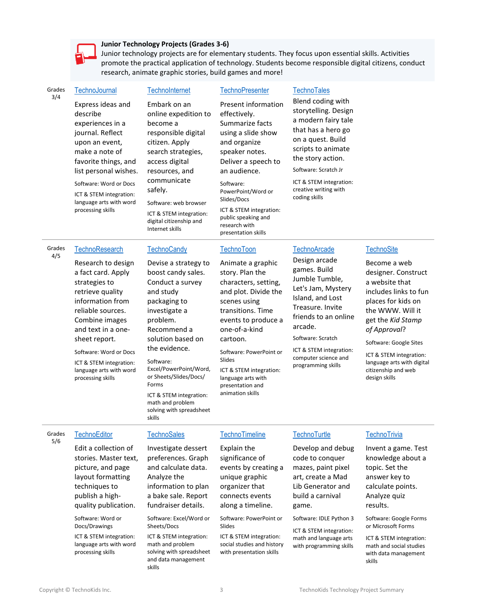

### **Junior Technology Projects (Grades 3-6)**

Junior technology projects are for elementary students. They focus upon essential skills. Activities promote the practical application of technology. Students become responsible digital citizens, conduct research, animate graphic stories, build games and more!

| Grades<br>3/4 | TechnoJournal                                                                                                                                                                                                                                                                        | <b>TechnoInternet</b>                                                                                                                                                                                                                                                                                                                        | <b>TechnoPresenter</b>                                                                                                                                                                                                                                                                                      | <b>TechnoTales</b>                                                                                                                                                                                                                                  |                                                                                                                                                                                                                                                                                          |  |  |  |  |  |
|---------------|--------------------------------------------------------------------------------------------------------------------------------------------------------------------------------------------------------------------------------------------------------------------------------------|----------------------------------------------------------------------------------------------------------------------------------------------------------------------------------------------------------------------------------------------------------------------------------------------------------------------------------------------|-------------------------------------------------------------------------------------------------------------------------------------------------------------------------------------------------------------------------------------------------------------------------------------------------------------|-----------------------------------------------------------------------------------------------------------------------------------------------------------------------------------------------------------------------------------------------------|------------------------------------------------------------------------------------------------------------------------------------------------------------------------------------------------------------------------------------------------------------------------------------------|--|--|--|--|--|
|               | Express ideas and<br>describe<br>experiences in a<br>journal. Reflect<br>upon an event,<br>make a note of<br>favorite things, and<br>list personal wishes.<br>Software: Word or Docs<br>ICT & STEM integration:<br>language arts with word<br>processing skills                      | Embark on an<br>online expedition to<br>become a<br>responsible digital<br>citizen. Apply<br>search strategies,<br>access digital<br>resources, and<br>communicate<br>safely.<br>Software: web browser<br>ICT & STEM integration:<br>digital citizenship and<br>Internet skills                                                              | Present information<br>effectively.<br>Summarize facts<br>using a slide show<br>and organize<br>speaker notes.<br>Deliver a speech to<br>an audience.<br>Software:<br>PowerPoint/Word or<br>Slides/Docs<br>ICT & STEM integration:<br>public speaking and<br>research with<br>presentation skills           | Blend coding with<br>storytelling. Design<br>a modern fairy tale<br>that has a hero go<br>on a quest. Build<br>scripts to animate<br>the story action.<br>Software: Scratch Jr<br>ICT & STEM integration:<br>creative writing with<br>coding skills |                                                                                                                                                                                                                                                                                          |  |  |  |  |  |
| Grades<br>4/5 | TechnoResearch                                                                                                                                                                                                                                                                       | <b>TechnoCandy</b>                                                                                                                                                                                                                                                                                                                           | <b>TechnoToon</b>                                                                                                                                                                                                                                                                                           | <b>TechnoArcade</b>                                                                                                                                                                                                                                 | <b>TechnoSite</b>                                                                                                                                                                                                                                                                        |  |  |  |  |  |
|               | Research to design<br>a fact card. Apply<br>strategies to<br>retrieve quality<br>information from<br>reliable sources.<br>Combine images<br>and text in a one-<br>sheet report.<br>Software: Word or Docs<br>ICT & STEM integration:<br>language arts with word<br>processing skills | Devise a strategy to<br>boost candy sales.<br>Conduct a survey<br>and study<br>packaging to<br>investigate a<br>problem.<br>Recommend a<br>solution based on<br>the evidence.<br>Software:<br>Excel/PowerPoint/Word,<br>or Sheets/Slides/Docs/<br>Forms<br>ICT & STEM integration:<br>math and problem<br>solving with spreadsheet<br>skills | Animate a graphic<br>story. Plan the<br>characters, setting,<br>and plot. Divide the<br>scenes using<br>transitions. Time<br>events to produce a<br>one-of-a-kind<br>cartoon.<br>Software: PowerPoint or<br>Slides<br>ICT & STEM integration:<br>language arts with<br>presentation and<br>animation skills | Design arcade<br>games. Build<br>Jumble Tumble,<br>Let's Jam, Mystery<br>Island, and Lost<br>Treasure. Invite<br>friends to an online<br>arcade.<br>Software: Scratch<br>ICT & STEM integration:<br>computer science and<br>programming skills      | Become a web<br>designer. Construct<br>a website that<br>includes links to fun<br>places for kids on<br>the WWW. Will it<br>get the Kid Stamp<br>of Approval?<br>Software: Google Sites<br>ICT & STEM integration:<br>language arts with digital<br>citizenship and web<br>design skills |  |  |  |  |  |
| Grades<br>5/6 | TechnoEditor                                                                                                                                                                                                                                                                         | <b>TechnoSales</b>                                                                                                                                                                                                                                                                                                                           | TechnoTimeline                                                                                                                                                                                                                                                                                              | TechnoTurtle                                                                                                                                                                                                                                        | TechnoTrivia                                                                                                                                                                                                                                                                             |  |  |  |  |  |
|               | Edit a collection of<br>stories. Master text,<br>picture, and page<br>layout formatting<br>techniques to<br>publish a high-<br>quality publication.<br>Software: Word or<br>Docs/Drawings<br>ICT & STEM integration:                                                                 | Investigate dessert<br>preferences. Graph<br>and calculate data.<br>Analyze the<br>information to plan<br>a bake sale. Report<br>fundraiser details.<br>Software: Excel/Word or<br>Sheets/Docs<br>ICT & STEM integration:                                                                                                                    | Explain the<br>significance of<br>events by creating a<br>unique graphic<br>organizer that<br>connects events<br>along a timeline.<br>Software: PowerPoint or<br>Slides<br>ICT & STEM integration:                                                                                                          | Develop and debug<br>code to conquer<br>mazes, paint pixel<br>art, create a Mad<br>Lib Generator and<br>build a carnival<br>game.<br>Software: IDLE Python 3<br>ICT & STEM integration:<br>math and language arts                                   | Invent a game. Test<br>knowledge about a<br>topic. Set the<br>answer key to<br>calculate points.<br>Analyze quiz<br>results.<br>Software: Google Forms<br>or Microsoft Forms<br>ICT & STEM integration:                                                                                  |  |  |  |  |  |
|               | language arts with word<br>processing skills                                                                                                                                                                                                                                         | math and problem<br>solving with spreadsheet<br>and data management<br>skills                                                                                                                                                                                                                                                                | social studies and history<br>with presentation skills                                                                                                                                                                                                                                                      | with programming skills                                                                                                                                                                                                                             | math and social studies<br>with data management<br>skills                                                                                                                                                                                                                                |  |  |  |  |  |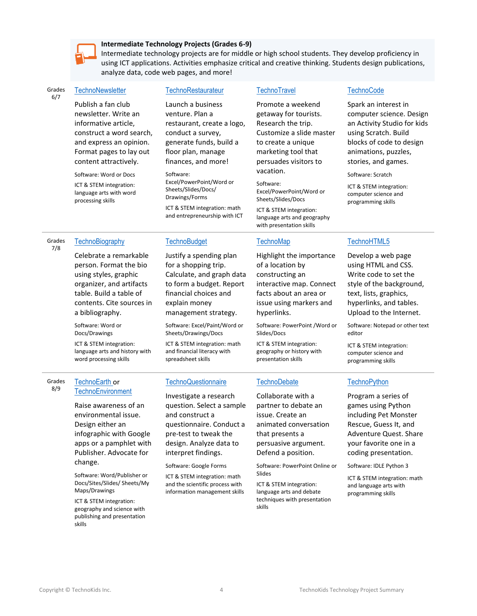

#### **Intermediate Technology Projects (Grades 6-9)**

Intermediate technology projects are for middle or high school students. They develop proficiency in using ICT applications. Activities emphasize critical and creative thinking. Students design publications, analyze data, code web pages, and more!

| Grades |
|--------|
| 6/7    |

### **[TechnoNewsletter](https://www.technokids.com/Store/Middle-School/TechnoNewsletter/microsoft-word-lesson-plans.aspx)**

Publish a fan club newsletter. Write an informative article, construct a word search, and express an opinion. Format pages to lay out content attractively.

Software: Word or Docs

ICT & STEM integration: language arts with word processing skills

#### **[TechnoRestaurateur](https://www.technokids.com/Store/Middle-School/TechnoRestaurateur/entrepreneurship-lesson-plans.aspx)**

Launch a business venture. Plan a restaurant, create a logo, conduct a survey, generate funds, build a floor plan, manage finances, and more!

Software: Excel/PowerPoint/Word or Sheets/Slides/Docs/ Drawings/Forms ICT & STEM integration: math and entrepreneurship with ICT

Justify a spending plan for a shopping trip. Calculate, and graph data to form a budget. Report financial choices and explain money

management strategy. Software: Excel/Paint/Word or Sheets/Drawings/Docs ICT & STEM integration: math and financial literacy with spreadsheet skills

**[TechnoBudget](https://www.technokids.com/Store/Middle-School/TechnoBudget/financial-literacy-lesson-plans.aspx)** 

### **[TechnoTravel](https://www.technokids.com/Store/Middle-School/TechnoTravel/tourism-lesson-plans.aspx)**

Promote a weekend getaway for tourists. Research the trip. Customize a slide master to create a unique marketing tool that persuades visitors to vacation.

Software: Excel/PowerPoint/Word or Sheets/Slides/Docs ICT & STEM integration: language arts and geography with presentation skills

#### **[TechnoMap](https://www.technokids.com/Store/Middle-School/TechnoMap/map-skills-lesson-plans.aspx)**

Highlight the importance of a location by constructing an interactive map. Connect facts about an area or issue using markers and hyperlinks.

Software: PowerPoint /Word or Slides/Docs

ICT & STEM integration: geography or history with presentation skills

#### **[TechnoDebate](https://www.technokids.com/Store/Middle-School/TechnoDebate/classroom-debate.aspx)**

Collaborate with a partner to debate an issue. Create an animated conversation that presents a persuasive argument. Defend a position.

Software: PowerPoint Online or Slides

ICT & STEM integration: language arts and debate techniques with presentation skills

#### **[TechnoCode](https://www.technokids.com/Store/Middle-School/TechnoCode/scratch-for-kids.aspx)**

Spark an interest in computer science. Design an Activity Studio for kids using Scratch. Build blocks of code to design animations, puzzles, stories, and games.

Software: Scratch

[TechnoHTML5](https://www.technokids.com/Store/Middle-School/TechnoHTML/coding-for-beginners.aspx)

ICT & STEM integration: computer science and programming skills

Develop a web page using HTML and CSS. Write code to set the style of the background, text, lists, graphics, hyperlinks, and tables. Upload to the Internet. Software: Notepad or other text

ICT & STEM integration: computer science and programming skills

#### Grades **[TechnoBiography](https://www.technokids.com/Store/Middle-School/TechnoBiography/biography-lesson-plans.aspx)**

Celebrate a remarkable person. Format the bio organizer, and artifacts contents. Cite sources in

ICT & STEM integration: word processing skills

#### Grades 8/9 [TechnoEarth](https://www.technokids.com/store/middle-school/technoearth/technoearth.aspx) or **[TechnoEnvironment](https://www.technokids.com/store/middle-school/technoenvironment/environmental-lesson-plans.aspx)**

Raise awareness of an environmental issue. Design either an infographic with Google apps or a pamphlet with Publisher. Advocate for change.

Software: Word/Publisher or Docs/Sites/Slides/ Sheets/My Maps/Drawings

ICT & STEM integration: geography and science with publishing and presentation skills

## **[TechnoQuestionnaire](https://www.technokids.com/Store/Middle-School/TechnoQuestionnaire/google-forms-survey.aspx)**

Investigate a research question. Select a sample and construct a questionnaire. Conduct a pre-test to tweak the design. Analyze data to interpret findings.

Software: Google Forms

ICT & STEM integration: math and the scientific process with information management skills

# **[TechnoPython](https://www.technokids.com/store/middle-school/technopython/python-programming-for-beginners.aspx)**

editor

Program a series of games using Python including Pet Monster Rescue, Guess It, and Adventure Quest. Share your favorite one in a coding presentation.

Software: IDLE Python 3

ICT & STEM integration: math and language arts with programming skills

### 7/8

using styles, graphic table. Build a table of a bibliography.

Software: Word or Docs/Drawings

language arts and history with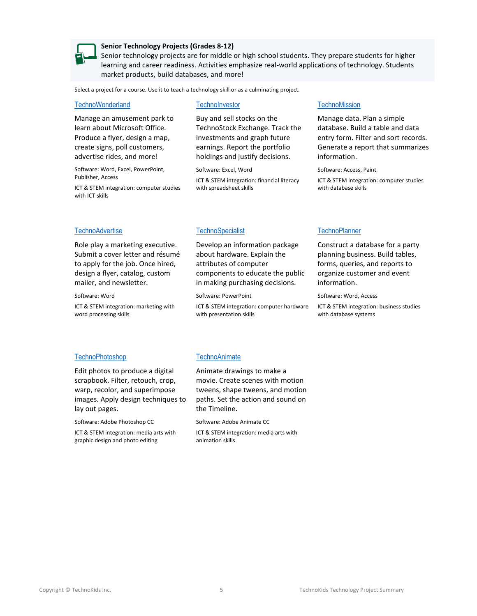

#### **Senior Technology Projects (Grades 8-12)**

Senior technology projects are for middle or high school students. They prepare students for higher learning and career readiness. Activities emphasize real-world applications of technology. Students market products, build databases, and more!

Select a project for a course. Use it to teach a technology skill or as a culminating project.

#### **[TechnoWonderland](https://www.technokids.com/Store/High-School/TechnoWonderland/microsoft-office-lessons.aspx)**

Manage an amusement park to learn about Microsoft Office. Produce a flyer, design a map, create signs, poll customers, advertise rides, and more!

Software: Word, Excel, PowerPoint, Publisher, Access

ICT & STEM integration: computer studies with ICT skills

#### **[TechnoInvestor](https://www.technokids.com/Store/High-School/TechnoInvestor/stock-market-game.aspx)**

Buy and sell stocks on the TechnoStock Exchange. Track the investments and graph future earnings. Report the portfolio holdings and justify decisions.

Software: Excel, Word

ICT & STEM integration: financial literacy with spreadsheet skills

### **[TechnoAdvertise](https://www.technokids.com/Store/High-School/TechnoAdvertise/advanced-word-processing.aspx)**

Role play a marketing executive. Submit a cover letter and résumé to apply for the job. Once hired, design a flyer, catalog, custom mailer, and newsletter.

Software: Word

ICT & STEM integration: marketing with word processing skills

# **[TechnoSpecialist](https://www.technokids.com/Store/High-School/TechnoSpecialist/advanced-powerpoint.aspx)**

Develop an information package about hardware. Explain the attributes of computer components to educate the public in making purchasing decisions.

Software: PowerPoint

ICT & STEM integration: computer hardware with presentation skills

#### **[TechnoMission](https://www.technokids.com/Store/High-School/TechnoMission/introduction-to-database.aspx)**

Manage data. Plan a simple database. Build a table and data entry form. Filter and sort records. Generate a report that summarizes information.

Software: Access, Paint

ICT & STEM integration: computer studies with database skills

#### **[TechnoPlanner](https://www.technokids.com/Store/High-School/TechnoPlanner/database-projects.aspx)**

Construct a database for a party planning business. Build tables, forms, queries, and reports to organize customer and event information.

Software: Word, Access

ICT & STEM integration: business studies with database systems

#### [TechnoPhotoshop](https://www.technokids.com/Store/High-School/TechnoPhotoshop/photoshop-lessons-for-beginners.aspx)

Edit photos to produce a digital scrapbook. Filter, retouch, crop, warp, recolor, and superimpose images. Apply design techniques to lay out pages.

Software: Adobe Photoshop CC ICT & STEM integration: media arts with graphic design and photo editing

#### [TechnoAnimate](https://www.technokids.com/Store/High-School/TechnoAnimate/animation-for-beginners.aspx)

Animate drawings to make a movie. Create scenes with motion tweens, shape tweens, and motion paths. Set the action and sound on the Timeline.

Software: Adobe Animate CC

ICT & STEM integration: media arts with animation skills